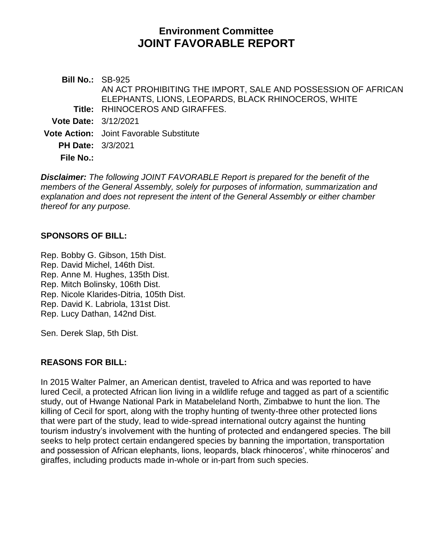# **Environment Committee JOINT FAVORABLE REPORT**

**Bill No.:** SB-925 **Title:** RHINOCEROS AND GIRAFFES. AN ACT PROHIBITING THE IMPORT, SALE AND POSSESSION OF AFRICAN ELEPHANTS, LIONS, LEOPARDS, BLACK RHINOCEROS, WHITE **Vote Date:** 3/12/2021 **Vote Action:** Joint Favorable Substitute **PH Date:** 3/3/2021 **File No.:**

*Disclaimer: The following JOINT FAVORABLE Report is prepared for the benefit of the members of the General Assembly, solely for purposes of information, summarization and explanation and does not represent the intent of the General Assembly or either chamber thereof for any purpose.*

## **SPONSORS OF BILL:**

[Rep. Bobby G. Gibson, 15th Dist.](https://www.cga.ct.gov/asp/CGABillStatus/CGAMemberBills.asp?dist_code=%27015%27) [Rep. David Michel, 146th Dist.](https://www.cga.ct.gov/asp/CGABillStatus/CGAMemberBills.asp?dist_code=%27146%27) [Rep. Anne M. Hughes, 135th Dist.](https://www.cga.ct.gov/asp/CGABillStatus/CGAMemberBills.asp?dist_code=%27135%27) [Rep. Mitch Bolinsky, 106th Dist.](https://www.cga.ct.gov/asp/CGABillStatus/CGAMemberBills.asp?dist_code=%27106%27) [Rep. Nicole Klarides-Ditria, 105th Dist.](https://www.cga.ct.gov/asp/CGABillStatus/CGAMemberBills.asp?dist_code=%27105%27) [Rep. David K. Labriola, 131st Dist.](https://www.cga.ct.gov/asp/CGABillStatus/CGAMemberBills.asp?dist_code=%27131%27) [Rep. Lucy Dathan, 142nd Dist.](https://www.cga.ct.gov/asp/CGABillStatus/CGAMemberBills.asp?dist_code=%27142%27)

[Sen. Derek Slap, 5th Dist.](https://www.cga.ct.gov/asp/CGABillStatus/CGAMemberBills.asp?dist_code=%27S05%27)

# **REASONS FOR BILL:**

In 2015 Walter Palmer, an American dentist, traveled to Africa and was reported to have lured Cecil, a protected African lion living in a wildlife refuge and tagged as part of a scientific study, out of Hwange National Park in Matabeleland North, Zimbabwe to hunt the lion. The killing of Cecil for sport, along with the trophy hunting of twenty-three other protected lions that were part of the study, lead to wide-spread international outcry against the hunting tourism industry's involvement with the hunting of protected and endangered species. The bill seeks to help protect certain endangered species by banning the importation, transportation and possession of African elephants, lions, leopards, black rhinoceros', white rhinoceros' and giraffes, including products made in-whole or in-part from such species.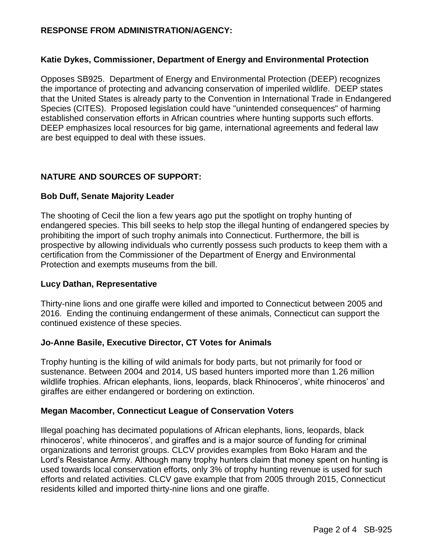## **RESPONSE FROM ADMINISTRATION/AGENCY:**

#### **Katie Dykes, Commissioner, Department of Energy and Environmental Protection**

Opposes SB925. Department of Energy and Environmental Protection (DEEP) recognizes the importance of protecting and advancing conservation of imperiled wildlife. DEEP states that the United States is already party to the Convention in International Trade in Endangered Species (CITES). Proposed legislation could have "unintended consequences" of harming established conservation efforts in African countries where hunting supports such efforts. DEEP emphasizes local resources for big game, international agreements and federal law are best equipped to deal with these issues.

# **NATURE AND SOURCES OF SUPPORT:**

#### **Bob Duff, Senate Majority Leader**

The shooting of Cecil the lion a few years ago put the spotlight on trophy hunting of endangered species. This bill seeks to help stop the illegal hunting of endangered species by prohibiting the import of such trophy animals into Connecticut. Furthermore, the bill is prospective by allowing individuals who currently possess such products to keep them with a certification from the Commissioner of the Department of Energy and Environmental Protection and exempts museums from the bill.

#### **Lucy Dathan, Representative**

Thirty-nine lions and one giraffe were killed and imported to Connecticut between 2005 and 2016. Ending the continuing endangerment of these animals, Connecticut can support the continued existence of these species.

#### **Jo-Anne Basile, Executive Director, CT Votes for Animals**

Trophy hunting is the killing of wild animals for body parts, but not primarily for food or sustenance. Between 2004 and 2014, US based hunters imported more than 1.26 million wildlife trophies. African elephants, lions, leopards, black Rhinoceros', white rhinoceros' and giraffes are either endangered or bordering on extinction.

#### **Megan Macomber, Connecticut League of Conservation Voters**

Illegal poaching has decimated populations of African elephants, lions, leopards, black rhinoceros', white rhinoceros', and giraffes and is a major source of funding for criminal organizations and terrorist groups. CLCV provides examples from Boko Haram and the Lord's Resistance Army. Although many trophy hunters claim that money spent on hunting is used towards local conservation efforts, only 3% of trophy hunting revenue is used for such efforts and related activities. CLCV gave example that from 2005 through 2015, Connecticut residents killed and imported thirty-nine lions and one giraffe.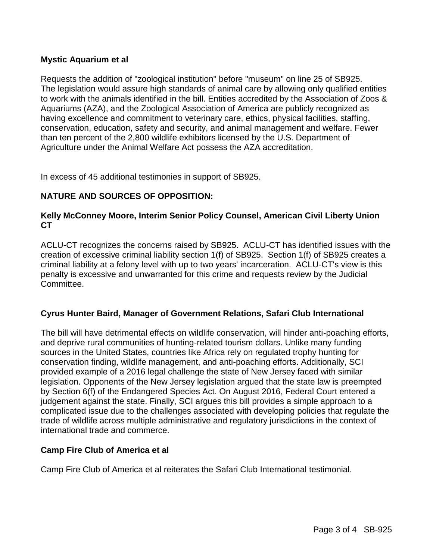## **Mystic Aquarium et al**

Requests the addition of "zoological institution" before "museum" on line 25 of SB925. The legislation would assure high standards of animal care by allowing only qualified entities to work with the animals identified in the bill. Entities accredited by the Association of Zoos & Aquariums (AZA), and the Zoological Association of America are publicly recognized as having excellence and commitment to veterinary care, ethics, physical facilities, staffing, conservation, education, safety and security, and animal management and welfare. Fewer than ten percent of the 2,800 wildlife exhibitors licensed by the U.S. Department of Agriculture under the Animal Welfare Act possess the AZA accreditation.

In excess of 45 additional testimonies in support of SB925.

# **NATURE AND SOURCES OF OPPOSITION:**

#### **Kelly McConney Moore, Interim Senior Policy Counsel, American Civil Liberty Union CT**

ACLU-CT recognizes the concerns raised by SB925. ACLU-CT has identified issues with the creation of excessive criminal liability section 1(f) of SB925. Section 1(f) of SB925 creates a criminal liability at a felony level with up to two years' incarceration. ACLU-CT's view is this penalty is excessive and unwarranted for this crime and requests review by the Judicial Committee.

#### **Cyrus Hunter Baird, Manager of Government Relations, Safari Club International**

The bill will have detrimental effects on wildlife conservation, will hinder anti-poaching efforts, and deprive rural communities of hunting-related tourism dollars. Unlike many funding sources in the United States, countries like Africa rely on regulated trophy hunting for conservation finding, wildlife management, and anti-poaching efforts. Additionally, SCI provided example of a 2016 legal challenge the state of New Jersey faced with similar legislation. Opponents of the New Jersey legislation argued that the state law is preempted by Section 6(f) of the Endangered Species Act. On August 2016, Federal Court entered a judgement against the state. Finally, SCI argues this bill provides a simple approach to a complicated issue due to the challenges associated with developing policies that regulate the trade of wildlife across multiple administrative and regulatory jurisdictions in the context of international trade and commerce.

#### **Camp Fire Club of America et al**

Camp Fire Club of America et al reiterates the Safari Club International testimonial.